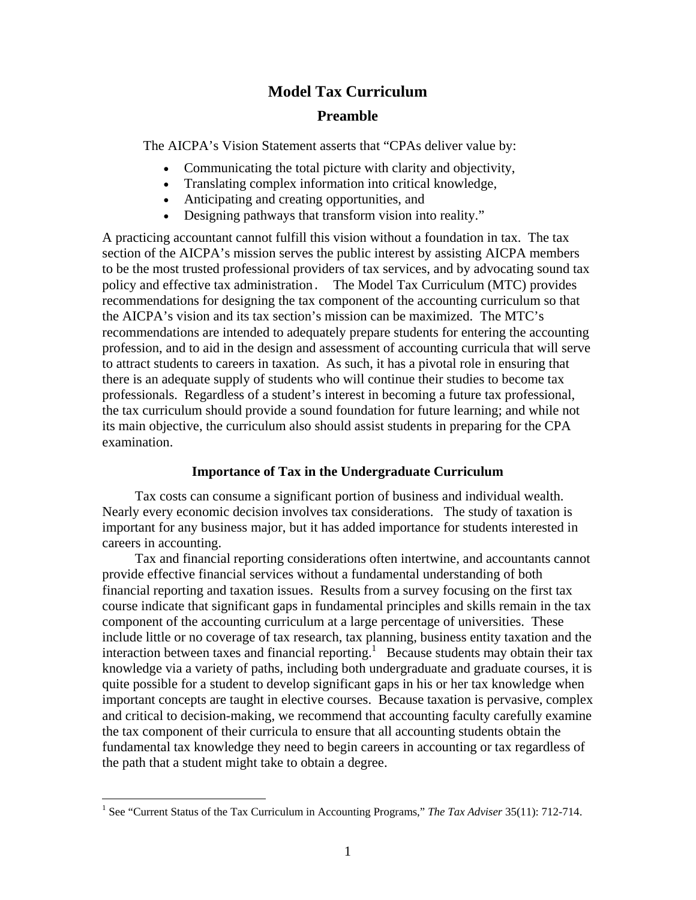# **Model Tax Curriculum**

## **Preamble**

The AICPA's Vision Statement asserts that "CPAs deliver value by:

- Communicating the total picture with clarity and objectivity,
- Translating complex information into critical knowledge,
- Anticipating and creating opportunities, and
- Designing pathways that transform vision into reality."

A practicing accountant cannot fulfill this vision without a foundation in tax. The tax section of the AICPA's mission serves the public interest by assisting AICPA members to be the most trusted professional providers of tax services, and by advocating sound tax policy and effective tax administration. The Model Tax Curriculum (MTC) provides recommendations for designing the tax component of the accounting curriculum so that the AICPA's vision and its tax section's mission can be maximized. The MTC's recommendations are intended to adequately prepare students for entering the accounting profession, and to aid in the design and assessment of accounting curricula that will serve to attract students to careers in taxation. As such, it has a pivotal role in ensuring that there is an adequate supply of students who will continue their studies to become tax professionals. Regardless of a student's interest in becoming a future tax professional, the tax curriculum should provide a sound foundation for future learning; and while not its main objective, the curriculum also should assist students in preparing for the CPA examination.

#### **Importance of Tax in the Undergraduate Curriculum**

Tax costs can consume a significant portion of business and individual wealth. Nearly every economic decision involves tax considerations. The study of taxation is important for any business major, but it has added importance for students interested in careers in accounting.

Tax and financial reporting considerations often intertwine, and accountants cannot provide effective financial services without a fundamental understanding of both financial reporting and taxation issues. Results from a survey focusing on the first tax course indicate that significant gaps in fundamental principles and skills remain in the tax component of the accounting curriculum at a large percentage of universities. These include little or no coverage of tax research, tax planning, business entity taxation and the interaction between taxes and financial reporting.<sup>1</sup> Because students may obtain their tax knowledge via a variety of paths, including both undergraduate and graduate courses, it is quite possible for a student to develop significant gaps in his or her tax knowledge when important concepts are taught in elective courses. Because taxation is pervasive, complex and critical to decision-making, we recommend that accounting faculty carefully examine the tax component of their curricula to ensure that all accounting students obtain the fundamental tax knowledge they need to begin careers in accounting or tax regardless of the path that a student might take to obtain a degree.

 1 See "Current Status of the Tax Curriculum in Accounting Programs," *The Tax Adviser* 35(11): 712-714.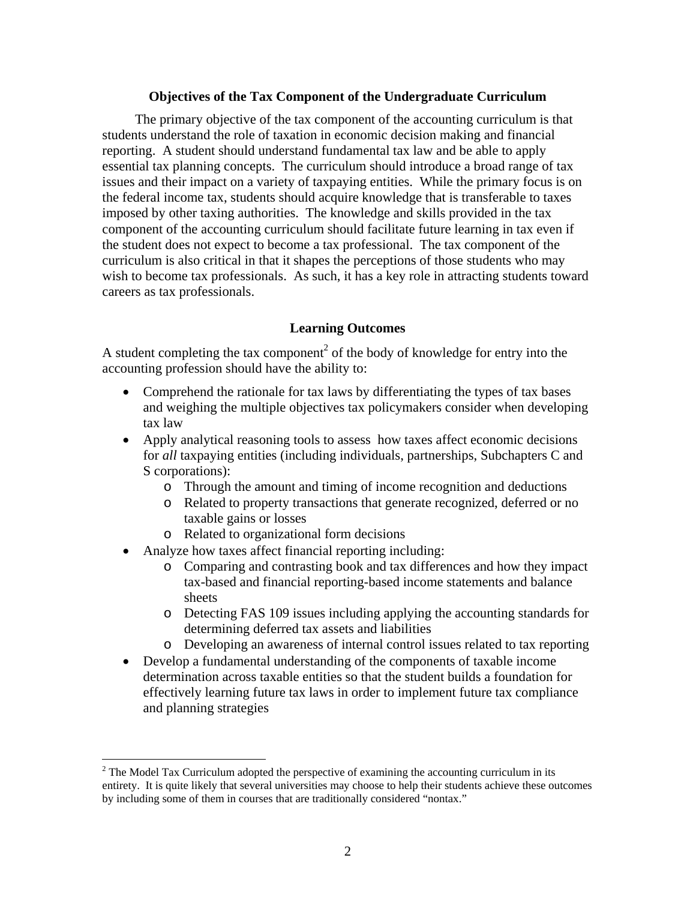## **Objectives of the Tax Component of the Undergraduate Curriculum**

The primary objective of the tax component of the accounting curriculum is that students understand the role of taxation in economic decision making and financial reporting. A student should understand fundamental tax law and be able to apply essential tax planning concepts. The curriculum should introduce a broad range of tax issues and their impact on a variety of taxpaying entities. While the primary focus is on the federal income tax, students should acquire knowledge that is transferable to taxes imposed by other taxing authorities. The knowledge and skills provided in the tax component of the accounting curriculum should facilitate future learning in tax even if the student does not expect to become a tax professional. The tax component of the curriculum is also critical in that it shapes the perceptions of those students who may wish to become tax professionals. As such, it has a key role in attracting students toward careers as tax professionals.

#### **Learning Outcomes**

A student completing the tax component<sup>2</sup> of the body of knowledge for entry into the accounting profession should have the ability to:

- Comprehend the rationale for tax laws by differentiating the types of tax bases and weighing the multiple objectives tax policymakers consider when developing tax law
- Apply analytical reasoning tools to assess how taxes affect economic decisions for *all* taxpaying entities (including individuals, partnerships, Subchapters C and S corporations):
	- o Through the amount and timing of income recognition and deductions
	- o Related to property transactions that generate recognized, deferred or no taxable gains or losses
	- o Related to organizational form decisions
- Analyze how taxes affect financial reporting including:

 $\overline{a}$ 

- o Comparing and contrasting book and tax differences and how they impact tax-based and financial reporting-based income statements and balance sheets
- o Detecting FAS 109 issues including applying the accounting standards for determining deferred tax assets and liabilities
- o Developing an awareness of internal control issues related to tax reporting
- Develop a fundamental understanding of the components of taxable income determination across taxable entities so that the student builds a foundation for effectively learning future tax laws in order to implement future tax compliance and planning strategies

 $2^2$  The Model Tax Curriculum adopted the perspective of examining the accounting curriculum in its entirety. It is quite likely that several universities may choose to help their students achieve these outcomes by including some of them in courses that are traditionally considered "nontax."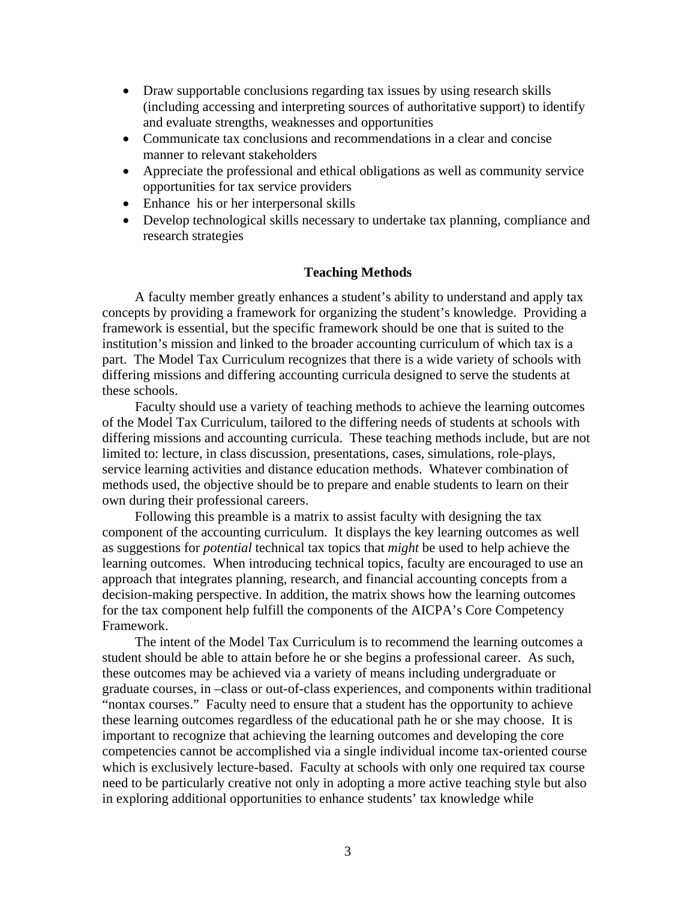- Draw supportable conclusions regarding tax issues by using research skills (including accessing and interpreting sources of authoritative support) to identify and evaluate strengths, weaknesses and opportunities
- Communicate tax conclusions and recommendations in a clear and concise manner to relevant stakeholders
- Appreciate the professional and ethical obligations as well as community service opportunities for tax service providers
- Enhance his or her interpersonal skills
- Develop technological skills necessary to undertake tax planning, compliance and research strategies

#### **Teaching Methods**

A faculty member greatly enhances a student's ability to understand and apply tax concepts by providing a framework for organizing the student's knowledge. Providing a framework is essential, but the specific framework should be one that is suited to the institution's mission and linked to the broader accounting curriculum of which tax is a part. The Model Tax Curriculum recognizes that there is a wide variety of schools with differing missions and differing accounting curricula designed to serve the students at these schools.

Faculty should use a variety of teaching methods to achieve the learning outcomes of the Model Tax Curriculum, tailored to the differing needs of students at schools with differing missions and accounting curricula. These teaching methods include, but are not limited to: lecture, in class discussion, presentations, cases, simulations, role-plays, service learning activities and distance education methods. Whatever combination of methods used, the objective should be to prepare and enable students to learn on their own during their professional careers.

Following this preamble is a matrix to assist faculty with designing the tax component of the accounting curriculum. It displays the key learning outcomes as well as suggestions for *potential* technical tax topics that *might* be used to help achieve the learning outcomes. When introducing technical topics, faculty are encouraged to use an approach that integrates planning, research, and financial accounting concepts from a decision-making perspective. In addition, the matrix shows how the learning outcomes for the tax component help fulfill the components of the AICPA's Core Competency Framework.

The intent of the Model Tax Curriculum is to recommend the learning outcomes a student should be able to attain before he or she begins a professional career. As such, these outcomes may be achieved via a variety of means including undergraduate or graduate courses, in –class or out-of-class experiences, and components within traditional "nontax courses." Faculty need to ensure that a student has the opportunity to achieve these learning outcomes regardless of the educational path he or she may choose. It is important to recognize that achieving the learning outcomes and developing the core competencies cannot be accomplished via a single individual income tax-oriented course which is exclusively lecture-based. Faculty at schools with only one required tax course need to be particularly creative not only in adopting a more active teaching style but also in exploring additional opportunities to enhance students' tax knowledge while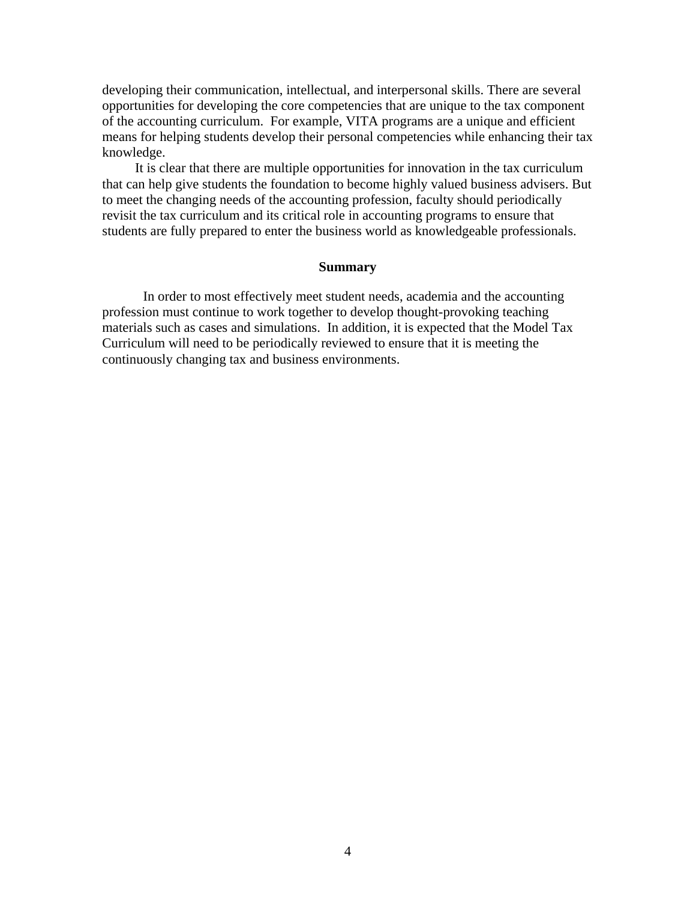developing their communication, intellectual, and interpersonal skills. There are several opportunities for developing the core competencies that are unique to the tax component of the accounting curriculum. For example, VITA programs are a unique and efficient means for helping students develop their personal competencies while enhancing their tax knowledge.

It is clear that there are multiple opportunities for innovation in the tax curriculum that can help give students the foundation to become highly valued business advisers. But to meet the changing needs of the accounting profession, faculty should periodically revisit the tax curriculum and its critical role in accounting programs to ensure that students are fully prepared to enter the business world as knowledgeable professionals.

#### **Summary**

 In order to most effectively meet student needs, academia and the accounting profession must continue to work together to develop thought-provoking teaching materials such as cases and simulations. In addition, it is expected that the Model Tax Curriculum will need to be periodically reviewed to ensure that it is meeting the continuously changing tax and business environments.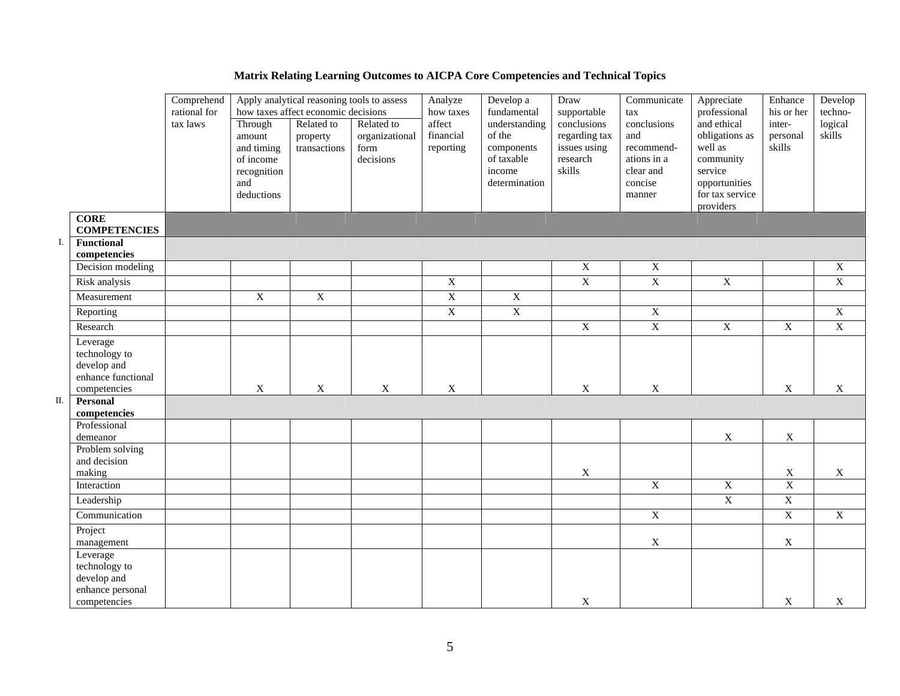|    |                                                                                | Comprehend<br>rational for |                                                                                  | Apply analytical reasoning tools to assess<br>how taxes affect economic decisions |                                                   | Analyze<br>how taxes             | Develop a<br>fundamental                                                       | Draw<br>supportable                                                | Communicate<br>$\ensuremath{\text{tax}}$                                          | Appreciate<br>professional                                                                                        | Enhance<br>his or her        | Develop<br>techno-        |
|----|--------------------------------------------------------------------------------|----------------------------|----------------------------------------------------------------------------------|-----------------------------------------------------------------------------------|---------------------------------------------------|----------------------------------|--------------------------------------------------------------------------------|--------------------------------------------------------------------|-----------------------------------------------------------------------------------|-------------------------------------------------------------------------------------------------------------------|------------------------------|---------------------------|
|    |                                                                                | tax laws                   | Through<br>amount<br>and timing<br>of income<br>recognition<br>and<br>deductions | Related to<br>property<br>transactions                                            | Related to<br>organizational<br>form<br>decisions | affect<br>financial<br>reporting | understanding<br>of the<br>components<br>of taxable<br>income<br>determination | conclusions<br>regarding tax<br>issues using<br>research<br>skills | conclusions<br>and<br>recommend-<br>ations in a<br>clear and<br>concise<br>manner | and ethical<br>obligations as<br>well as<br>community<br>service<br>opportunities<br>for tax service<br>providers | inter-<br>personal<br>skills | logical<br>skills         |
|    | <b>CORE</b><br><b>COMPETENCIES</b>                                             |                            |                                                                                  |                                                                                   |                                                   |                                  |                                                                                |                                                                    |                                                                                   |                                                                                                                   |                              |                           |
| Ι. | Functional<br>competencies                                                     |                            |                                                                                  |                                                                                   |                                                   |                                  |                                                                                |                                                                    |                                                                                   |                                                                                                                   |                              |                           |
|    | Decision modeling                                                              |                            |                                                                                  |                                                                                   |                                                   |                                  |                                                                                | $\overline{X}$                                                     | $\mathbf X$                                                                       |                                                                                                                   |                              | $\mathbf X$               |
|    | Risk analysis                                                                  |                            |                                                                                  |                                                                                   |                                                   | $\overline{X}$                   |                                                                                | $\overline{X}$                                                     | $\overline{X}$                                                                    | $\overline{X}$                                                                                                    |                              | $\overline{X}$            |
|    | Measurement                                                                    |                            | $\overline{X}$                                                                   | $\overline{X}$                                                                    |                                                   | $\overline{X}$                   | $\overline{X}$                                                                 |                                                                    |                                                                                   |                                                                                                                   |                              |                           |
|    | Reporting                                                                      |                            |                                                                                  |                                                                                   |                                                   | $\overline{X}$                   | $\overline{X}$                                                                 |                                                                    | $\overline{X}$                                                                    |                                                                                                                   |                              | $\overline{X}$            |
|    | Research                                                                       |                            |                                                                                  |                                                                                   |                                                   |                                  |                                                                                | $\overline{X}$                                                     | $\overline{X}$                                                                    | $\overline{\text{X}}$                                                                                             | $\overline{X}$               | $\overline{X}$            |
|    | Leverage<br>technology to<br>develop and<br>enhance functional<br>competencies |                            | $\mathbf X$                                                                      | $\mathbf X$                                                                       | $\mathbf X$                                       | $\mathbf X$                      |                                                                                | $\mathbf X$                                                        | $\mathbf X$                                                                       |                                                                                                                   | $\mathbf X$                  | $\mathbf X$               |
| П. | Personal<br>competencies                                                       |                            |                                                                                  |                                                                                   |                                                   |                                  |                                                                                |                                                                    |                                                                                   |                                                                                                                   |                              |                           |
|    | Professional<br>demeanor<br>Problem solving                                    |                            |                                                                                  |                                                                                   |                                                   |                                  |                                                                                |                                                                    |                                                                                   | $\mathbf X$                                                                                                       | $\mathbf X$                  |                           |
|    | and decision<br>making                                                         |                            |                                                                                  |                                                                                   |                                                   |                                  |                                                                                | $\mathbf X$                                                        |                                                                                   |                                                                                                                   | $\mathbf X$                  | $\mathbf X$               |
|    | Interaction                                                                    |                            |                                                                                  |                                                                                   |                                                   |                                  |                                                                                |                                                                    | $\overline{X}$                                                                    | $\overline{X}$                                                                                                    | $\overline{X}$               |                           |
|    | Leadership                                                                     |                            |                                                                                  |                                                                                   |                                                   |                                  |                                                                                |                                                                    |                                                                                   | $\overline{X}$                                                                                                    | $\overline{\text{X}}$        |                           |
|    | Communication                                                                  |                            |                                                                                  |                                                                                   |                                                   |                                  |                                                                                |                                                                    | $\overline{\text{X}}$                                                             |                                                                                                                   | $\overline{X}$               | $\overline{X}$            |
|    | Project<br>management                                                          |                            |                                                                                  |                                                                                   |                                                   |                                  |                                                                                |                                                                    | $\mathbf X$                                                                       |                                                                                                                   | $\mathbf X$                  |                           |
|    | Leverage<br>technology to<br>develop and<br>enhance personal<br>competencies   |                            |                                                                                  |                                                                                   |                                                   |                                  |                                                                                | X                                                                  |                                                                                   |                                                                                                                   | $\mathbf X$                  | $\boldsymbol{\mathrm{X}}$ |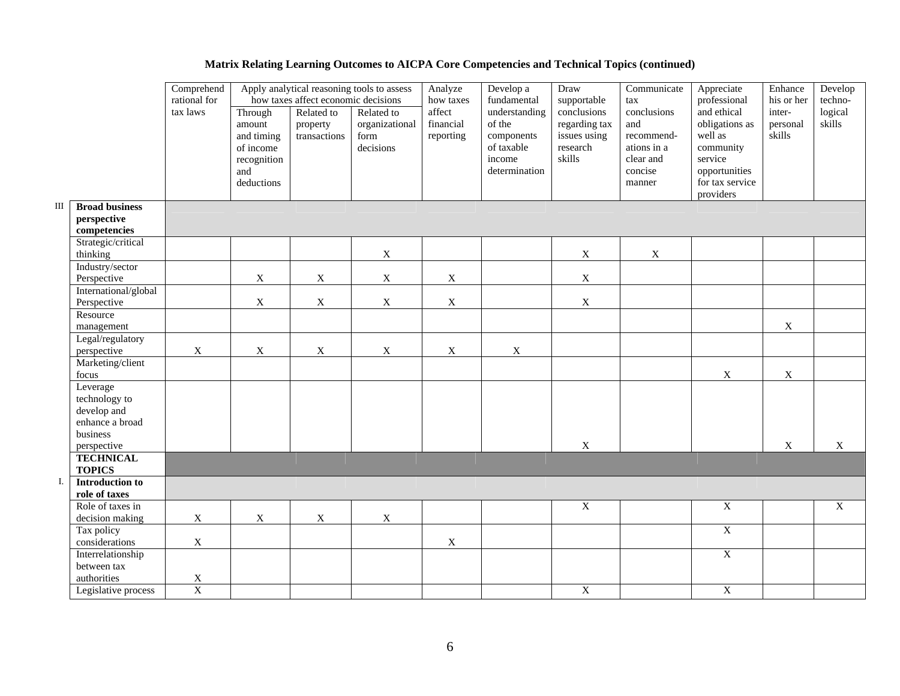|     |                                 | Comprehend<br>rational for |                                                                                  | how taxes affect economic decisions    | Apply analytical reasoning tools to assess        | Develop a<br>Analyze<br>fundamental<br>how taxes | Draw<br>supportable                                                            | Communicate<br>tax                                                 | Appreciate<br>professional                                                        | Enhance<br>his or her                                                                                             | Develop<br>techno-           |                           |
|-----|---------------------------------|----------------------------|----------------------------------------------------------------------------------|----------------------------------------|---------------------------------------------------|--------------------------------------------------|--------------------------------------------------------------------------------|--------------------------------------------------------------------|-----------------------------------------------------------------------------------|-------------------------------------------------------------------------------------------------------------------|------------------------------|---------------------------|
|     |                                 | tax laws                   | Through<br>amount<br>and timing<br>of income<br>recognition<br>and<br>deductions | Related to<br>property<br>transactions | Related to<br>organizational<br>form<br>decisions | affect<br>financial<br>reporting                 | understanding<br>of the<br>components<br>of taxable<br>income<br>determination | conclusions<br>regarding tax<br>issues using<br>research<br>skills | conclusions<br>and<br>recommend-<br>ations in a<br>clear and<br>concise<br>manner | and ethical<br>obligations as<br>well as<br>community<br>service<br>opportunities<br>for tax service<br>providers | inter-<br>personal<br>skills | logical<br>skills         |
| III | <b>Broad business</b>           |                            |                                                                                  |                                        |                                                   |                                                  |                                                                                |                                                                    |                                                                                   |                                                                                                                   |                              |                           |
|     | perspective                     |                            |                                                                                  |                                        |                                                   |                                                  |                                                                                |                                                                    |                                                                                   |                                                                                                                   |                              |                           |
|     | competencies                    |                            |                                                                                  |                                        |                                                   |                                                  |                                                                                |                                                                    |                                                                                   |                                                                                                                   |                              |                           |
|     | Strategic/critical              |                            |                                                                                  |                                        |                                                   |                                                  |                                                                                |                                                                    |                                                                                   |                                                                                                                   |                              |                           |
|     | thinking                        |                            |                                                                                  |                                        | $\mathbf X$                                       |                                                  |                                                                                | $\mathbf X$                                                        | $\mathbf X$                                                                       |                                                                                                                   |                              |                           |
|     | Industry/sector                 |                            |                                                                                  |                                        |                                                   |                                                  |                                                                                |                                                                    |                                                                                   |                                                                                                                   |                              |                           |
|     | Perspective                     |                            | $\mathbf X$                                                                      | $\mathbf X$                            | $\mathbf X$                                       | $\boldsymbol{\mathrm{X}}$                        |                                                                                | $\mathbf X$                                                        |                                                                                   |                                                                                                                   |                              |                           |
|     | International/global            |                            |                                                                                  |                                        |                                                   |                                                  |                                                                                |                                                                    |                                                                                   |                                                                                                                   |                              |                           |
|     | Perspective                     |                            | $\mathbf X$                                                                      | $\mathbf X$                            | $\mathbf X$                                       | $\mathbf X$                                      |                                                                                | $\mathbf X$                                                        |                                                                                   |                                                                                                                   |                              |                           |
|     | Resource                        |                            |                                                                                  |                                        |                                                   |                                                  |                                                                                |                                                                    |                                                                                   |                                                                                                                   |                              |                           |
|     | management                      |                            |                                                                                  |                                        |                                                   |                                                  |                                                                                |                                                                    |                                                                                   |                                                                                                                   | $\mathbf X$                  |                           |
|     | Legal/regulatory                |                            |                                                                                  |                                        |                                                   |                                                  |                                                                                |                                                                    |                                                                                   |                                                                                                                   |                              |                           |
|     | perspective                     | $\mathbf X$                | $\mathbf X$                                                                      | $\mathbf X$                            | $\mathbf X$                                       | $\mathbf X$                                      | $\mathbf X$                                                                    |                                                                    |                                                                                   |                                                                                                                   |                              |                           |
|     | Marketing/client                |                            |                                                                                  |                                        |                                                   |                                                  |                                                                                |                                                                    |                                                                                   |                                                                                                                   |                              |                           |
|     | focus                           |                            |                                                                                  |                                        |                                                   |                                                  |                                                                                |                                                                    |                                                                                   | X                                                                                                                 | X                            |                           |
|     | Leverage                        |                            |                                                                                  |                                        |                                                   |                                                  |                                                                                |                                                                    |                                                                                   |                                                                                                                   |                              |                           |
|     | technology to                   |                            |                                                                                  |                                        |                                                   |                                                  |                                                                                |                                                                    |                                                                                   |                                                                                                                   |                              |                           |
|     | develop and                     |                            |                                                                                  |                                        |                                                   |                                                  |                                                                                |                                                                    |                                                                                   |                                                                                                                   |                              |                           |
|     | enhance a broad                 |                            |                                                                                  |                                        |                                                   |                                                  |                                                                                |                                                                    |                                                                                   |                                                                                                                   |                              |                           |
|     | business                        |                            |                                                                                  |                                        |                                                   |                                                  |                                                                                | $\mathbf X$                                                        |                                                                                   |                                                                                                                   |                              |                           |
|     | perspective<br><b>TECHNICAL</b> |                            |                                                                                  |                                        |                                                   |                                                  |                                                                                |                                                                    |                                                                                   |                                                                                                                   | X                            | $\boldsymbol{\mathrm{X}}$ |
|     | <b>TOPICS</b>                   |                            |                                                                                  |                                        |                                                   |                                                  |                                                                                |                                                                    |                                                                                   |                                                                                                                   |                              |                           |
| I.  | <b>Introduction to</b>          |                            |                                                                                  |                                        |                                                   |                                                  |                                                                                |                                                                    |                                                                                   |                                                                                                                   |                              |                           |
|     | role of taxes                   |                            |                                                                                  |                                        |                                                   |                                                  |                                                                                |                                                                    |                                                                                   |                                                                                                                   |                              |                           |
|     | Role of taxes in                |                            |                                                                                  |                                        |                                                   |                                                  |                                                                                | $\overline{X}$                                                     |                                                                                   | $\overline{X}$                                                                                                    |                              | $\boldsymbol{\mathrm{X}}$ |
|     | decision making                 | $\mathbf X$                | $\mathbf X$                                                                      | $\mathbf X$                            | $\mathbf X$                                       |                                                  |                                                                                |                                                                    |                                                                                   |                                                                                                                   |                              |                           |
|     | Tax policy                      |                            |                                                                                  |                                        |                                                   |                                                  |                                                                                |                                                                    |                                                                                   | $\overline{X}$                                                                                                    |                              |                           |
|     | considerations                  | $\mathbf X$                |                                                                                  |                                        |                                                   | $\mathbf X$                                      |                                                                                |                                                                    |                                                                                   |                                                                                                                   |                              |                           |
|     | Interrelationship               |                            |                                                                                  |                                        |                                                   |                                                  |                                                                                |                                                                    |                                                                                   | $\overline{X}$                                                                                                    |                              |                           |
|     | between tax                     |                            |                                                                                  |                                        |                                                   |                                                  |                                                                                |                                                                    |                                                                                   |                                                                                                                   |                              |                           |
|     | authorities                     | $\mathbf X$                |                                                                                  |                                        |                                                   |                                                  |                                                                                |                                                                    |                                                                                   |                                                                                                                   |                              |                           |
|     | Legislative process             | $\mathbf X$                |                                                                                  |                                        |                                                   |                                                  |                                                                                | X                                                                  |                                                                                   | $\overline{X}$                                                                                                    |                              |                           |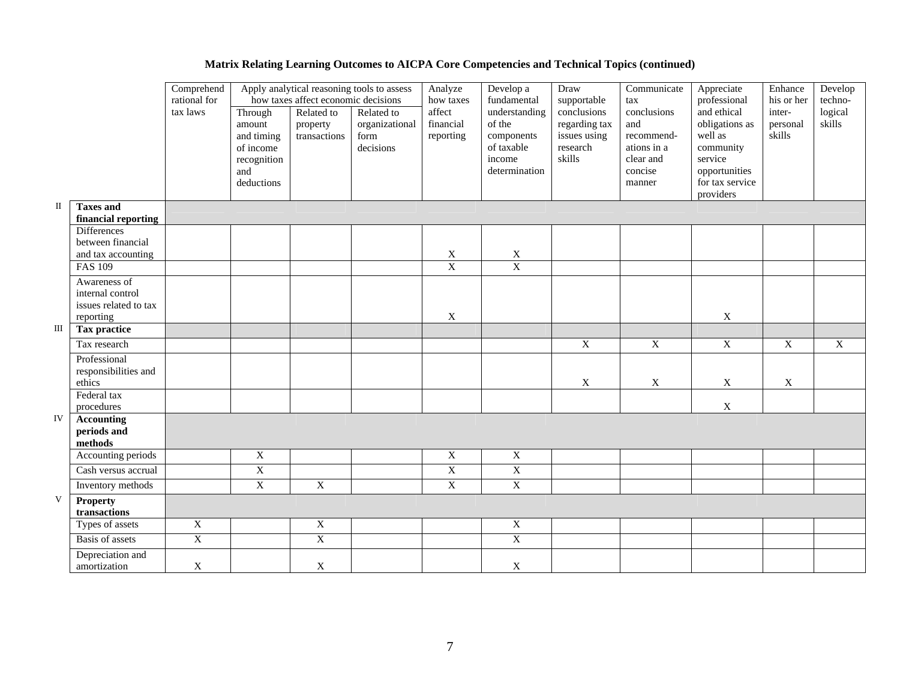|              |                                                                        | Comprehend<br>Apply analytical reasoning tools to assess<br>rational for<br>how taxes affect economic decisions |                                                                                  |                                        | Analyze<br>how taxes                              | Develop a<br>fundamental         | Draw<br>supportable                                                            | Communicate<br>tax                                                 | Appreciate<br>professional                                                        | Enhance<br>his or her                                                                                             | Develop<br>techno-           |                   |
|--------------|------------------------------------------------------------------------|-----------------------------------------------------------------------------------------------------------------|----------------------------------------------------------------------------------|----------------------------------------|---------------------------------------------------|----------------------------------|--------------------------------------------------------------------------------|--------------------------------------------------------------------|-----------------------------------------------------------------------------------|-------------------------------------------------------------------------------------------------------------------|------------------------------|-------------------|
|              |                                                                        | tax laws                                                                                                        | Through<br>amount<br>and timing<br>of income<br>recognition<br>and<br>deductions | Related to<br>property<br>transactions | Related to<br>organizational<br>form<br>decisions | affect<br>financial<br>reporting | understanding<br>of the<br>components<br>of taxable<br>income<br>determination | conclusions<br>regarding tax<br>issues using<br>research<br>skills | conclusions<br>and<br>recommend-<br>ations in a<br>clear and<br>concise<br>manner | and ethical<br>obligations as<br>well as<br>community<br>service<br>opportunities<br>for tax service<br>providers | inter-<br>personal<br>skills | logical<br>skills |
| $\mathbf{I}$ | <b>Taxes and</b><br>financial reporting                                |                                                                                                                 |                                                                                  |                                        |                                                   |                                  |                                                                                |                                                                    |                                                                                   |                                                                                                                   |                              |                   |
|              | <b>Differences</b><br>between financial<br>and tax accounting          |                                                                                                                 |                                                                                  |                                        |                                                   |                                  |                                                                                |                                                                    |                                                                                   |                                                                                                                   |                              |                   |
|              | <b>FAS 109</b>                                                         |                                                                                                                 |                                                                                  |                                        |                                                   | $\frac{\text{X}}{\text{X}}$      | $\frac{X}{X}$                                                                  |                                                                    |                                                                                   |                                                                                                                   |                              |                   |
|              | Awareness of<br>internal control<br>issues related to tax<br>reporting |                                                                                                                 |                                                                                  |                                        |                                                   | X                                |                                                                                |                                                                    |                                                                                   | X                                                                                                                 |                              |                   |
| $\rm III$    | <b>Tax practice</b>                                                    |                                                                                                                 |                                                                                  |                                        |                                                   |                                  |                                                                                |                                                                    |                                                                                   |                                                                                                                   |                              |                   |
|              | Tax research                                                           |                                                                                                                 |                                                                                  |                                        |                                                   |                                  |                                                                                | $\overline{X}$                                                     | $\overline{X}$                                                                    | $\overline{\textbf{X}}$                                                                                           | $\mathbf X$                  | $\overline{X}$    |
|              | Professional<br>responsibilities and<br>ethics                         |                                                                                                                 |                                                                                  |                                        |                                                   |                                  |                                                                                | $\mathbf X$                                                        | X                                                                                 | $\mathbf X$                                                                                                       | $\mathbf X$                  |                   |
|              | Federal tax<br>procedures                                              |                                                                                                                 |                                                                                  |                                        |                                                   |                                  |                                                                                |                                                                    |                                                                                   | $\mathbf X$                                                                                                       |                              |                   |
| IV           | <b>Accounting</b><br>periods and<br>methods                            |                                                                                                                 |                                                                                  |                                        |                                                   |                                  |                                                                                |                                                                    |                                                                                   |                                                                                                                   |                              |                   |
|              | Accounting periods                                                     |                                                                                                                 | $\overline{X}$                                                                   |                                        |                                                   | $\overline{X}$                   | $\overline{X}$                                                                 |                                                                    |                                                                                   |                                                                                                                   |                              |                   |
|              | Cash versus accrual                                                    |                                                                                                                 | $\mathbf X$                                                                      |                                        |                                                   | $\overline{\mathbf{X}}$          | $\overline{\mathbf{X}}$                                                        |                                                                    |                                                                                   |                                                                                                                   |                              |                   |
|              | Inventory methods                                                      |                                                                                                                 | $\overline{\textbf{X}}$                                                          | $\overline{\textbf{X}}$                |                                                   | $\overline{X}$                   | $\overline{\mathbf{X}}$                                                        |                                                                    |                                                                                   |                                                                                                                   |                              |                   |
| V            | Property<br>transactions                                               |                                                                                                                 |                                                                                  |                                        |                                                   |                                  |                                                                                |                                                                    |                                                                                   |                                                                                                                   |                              |                   |
|              | Types of assets                                                        | $\mathbf X$                                                                                                     |                                                                                  | $\mathbf X$                            |                                                   |                                  | $\mathbf X$                                                                    |                                                                    |                                                                                   |                                                                                                                   |                              |                   |
|              | <b>Basis</b> of assets                                                 | $\overline{X}$                                                                                                  |                                                                                  | $\overline{X}$                         |                                                   |                                  | $\overline{X}$                                                                 |                                                                    |                                                                                   |                                                                                                                   |                              |                   |
|              | Depreciation and<br>amortization                                       | $\mathbf X$                                                                                                     |                                                                                  | $\mathbf X$                            |                                                   |                                  | $\mathbf X$                                                                    |                                                                    |                                                                                   |                                                                                                                   |                              |                   |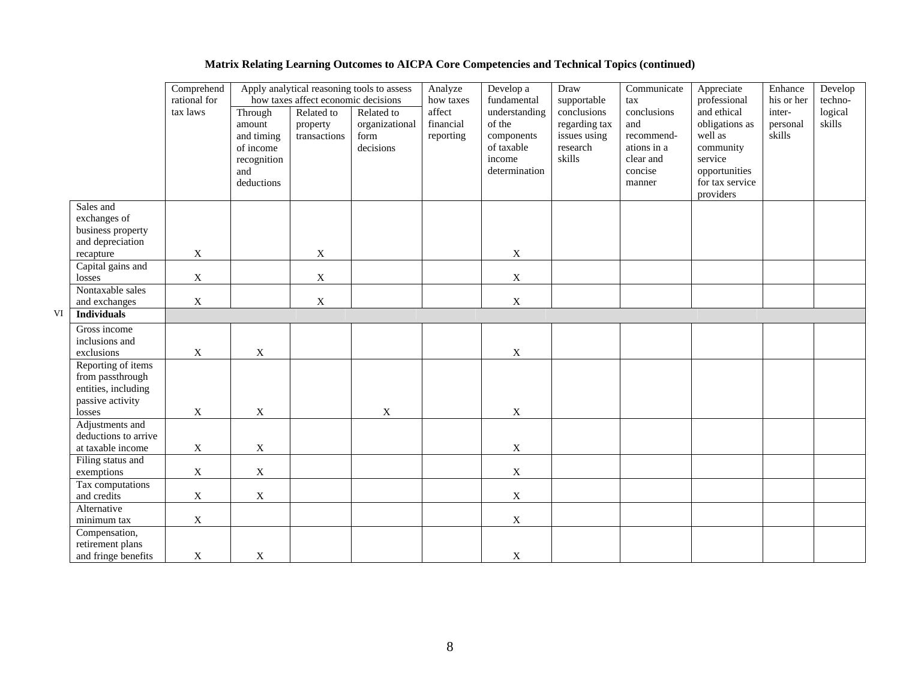|    |                                           | Comprehend<br>rational for | Apply analytical reasoning tools to assess<br>how taxes affect economic decisions |              |                | Analyze<br>how taxes | Develop a<br>fundamental | Draw<br>supportable          | Communicate<br>tax | Appreciate<br>professional    | Enhance<br>his or her | Develop<br>techno- |
|----|-------------------------------------------|----------------------------|-----------------------------------------------------------------------------------|--------------|----------------|----------------------|--------------------------|------------------------------|--------------------|-------------------------------|-----------------------|--------------------|
|    |                                           | tax laws                   | Through                                                                           | Related to   | Related to     | affect               | understanding<br>of the  | conclusions<br>regarding tax | conclusions        | and ethical<br>obligations as | inter-<br>personal    | logical<br>skills  |
|    |                                           |                            | amount                                                                            | property     | organizational | financial            |                          |                              | and                |                               |                       |                    |
|    |                                           |                            | and timing                                                                        | transactions | form           | reporting            | components               | issues using                 | recommend-         | well as                       | skills                |                    |
|    |                                           |                            | of income                                                                         |              | decisions      |                      | of taxable               | research                     | ations in a        | community                     |                       |                    |
|    |                                           |                            | recognition                                                                       |              |                |                      | income                   | skills                       | clear and          | service                       |                       |                    |
|    |                                           |                            | and                                                                               |              |                |                      | determination            |                              | concise            | opportunities                 |                       |                    |
|    |                                           |                            | deductions                                                                        |              |                |                      |                          |                              | manner             | for tax service               |                       |                    |
|    |                                           |                            |                                                                                   |              |                |                      |                          |                              |                    | providers                     |                       |                    |
|    | Sales and                                 |                            |                                                                                   |              |                |                      |                          |                              |                    |                               |                       |                    |
|    | exchanges of                              |                            |                                                                                   |              |                |                      |                          |                              |                    |                               |                       |                    |
|    | business property                         |                            |                                                                                   |              |                |                      |                          |                              |                    |                               |                       |                    |
|    | and depreciation                          | $\boldsymbol{\mathrm{X}}$  |                                                                                   | X            |                |                      | X                        |                              |                    |                               |                       |                    |
|    | recapture<br>Capital gains and            |                            |                                                                                   |              |                |                      |                          |                              |                    |                               |                       |                    |
|    | losses                                    | $\mathbf X$                |                                                                                   | $\mathbf X$  |                |                      | $\mathbf X$              |                              |                    |                               |                       |                    |
|    | Nontaxable sales                          |                            |                                                                                   |              |                |                      |                          |                              |                    |                               |                       |                    |
|    | and exchanges                             | X                          |                                                                                   | $\mathbf X$  |                |                      | $\mathbf X$              |                              |                    |                               |                       |                    |
| VI | <b>Individuals</b>                        |                            |                                                                                   |              |                |                      |                          |                              |                    |                               |                       |                    |
|    | Gross income                              |                            |                                                                                   |              |                |                      |                          |                              |                    |                               |                       |                    |
|    | inclusions and                            |                            |                                                                                   |              |                |                      |                          |                              |                    |                               |                       |                    |
|    | exclusions                                | $\boldsymbol{\mathrm{X}}$  | X                                                                                 |              |                |                      | X                        |                              |                    |                               |                       |                    |
|    | Reporting of items                        |                            |                                                                                   |              |                |                      |                          |                              |                    |                               |                       |                    |
|    | from passthrough                          |                            |                                                                                   |              |                |                      |                          |                              |                    |                               |                       |                    |
|    | entities, including                       |                            |                                                                                   |              |                |                      |                          |                              |                    |                               |                       |                    |
|    | passive activity                          |                            |                                                                                   |              |                |                      |                          |                              |                    |                               |                       |                    |
|    | losses                                    | $\boldsymbol{\mathrm{X}}$  | X                                                                                 |              | $\mathbf X$    |                      | $\mathbf X$              |                              |                    |                               |                       |                    |
|    | Adjustments and                           |                            |                                                                                   |              |                |                      |                          |                              |                    |                               |                       |                    |
|    | deductions to arrive<br>at taxable income | $\mathbf X$                | $\mathbf X$                                                                       |              |                |                      | $\mathbf X$              |                              |                    |                               |                       |                    |
|    | Filing status and                         |                            |                                                                                   |              |                |                      |                          |                              |                    |                               |                       |                    |
|    | exemptions                                | $\mathbf X$                | $\mathbf X$                                                                       |              |                |                      | $\mathbf X$              |                              |                    |                               |                       |                    |
|    | Tax computations                          |                            |                                                                                   |              |                |                      |                          |                              |                    |                               |                       |                    |
|    | and credits                               | $\mathbf X$                | $\mathbf X$                                                                       |              |                |                      | $\mathbf X$              |                              |                    |                               |                       |                    |
|    | Alternative                               |                            |                                                                                   |              |                |                      |                          |                              |                    |                               |                       |                    |
|    | minimum tax                               | X                          |                                                                                   |              |                |                      | X                        |                              |                    |                               |                       |                    |
|    | Compensation,                             |                            |                                                                                   |              |                |                      |                          |                              |                    |                               |                       |                    |
|    | retirement plans                          |                            |                                                                                   |              |                |                      |                          |                              |                    |                               |                       |                    |
|    | and fringe benefits                       | $\mathbf X$                | X                                                                                 |              |                |                      | X                        |                              |                    |                               |                       |                    |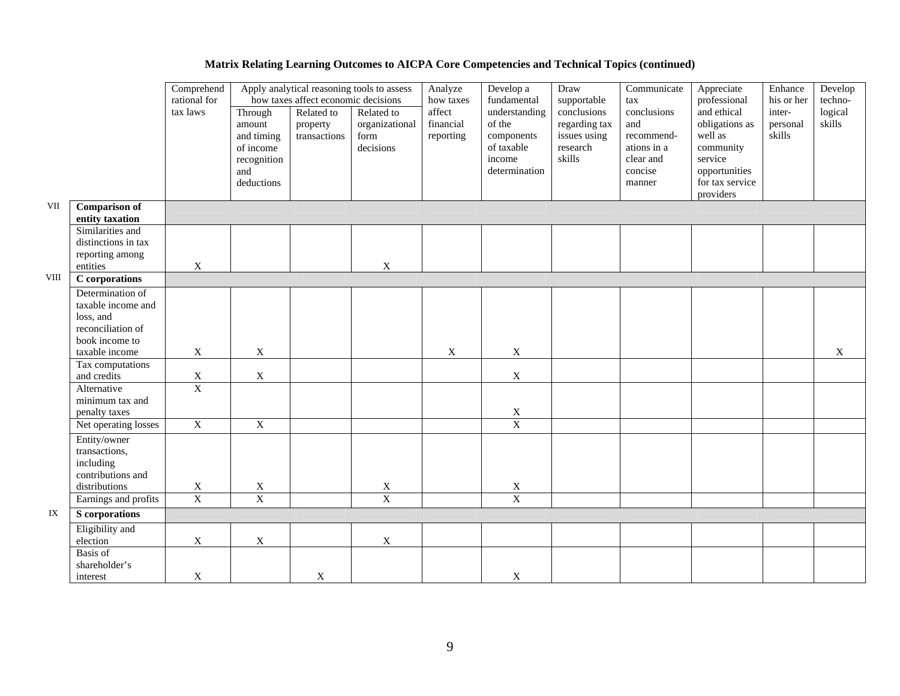|             |                                                                                  | Comprehend<br>rational for  | Apply analytical reasoning tools to assess<br>how taxes affect economic decisions |                                        |                                                   | Analyze<br>how taxes             | Develop a<br>fundamental                                                       | Draw<br>supportable                                                | Communicate<br>tax                                                                | Appreciate<br>professional                                                                                        | Enhance<br>his or her        | Develop<br>techno- |
|-------------|----------------------------------------------------------------------------------|-----------------------------|-----------------------------------------------------------------------------------|----------------------------------------|---------------------------------------------------|----------------------------------|--------------------------------------------------------------------------------|--------------------------------------------------------------------|-----------------------------------------------------------------------------------|-------------------------------------------------------------------------------------------------------------------|------------------------------|--------------------|
|             |                                                                                  | tax laws                    | Through<br>amount<br>and timing<br>of income<br>recognition<br>and<br>deductions  | Related to<br>property<br>transactions | Related to<br>organizational<br>form<br>decisions | affect<br>financial<br>reporting | understanding<br>of the<br>components<br>of taxable<br>income<br>determination | conclusions<br>regarding tax<br>issues using<br>research<br>skills | conclusions<br>and<br>recommend-<br>ations in a<br>clear and<br>concise<br>manner | and ethical<br>obligations as<br>well as<br>community<br>service<br>opportunities<br>for tax service<br>providers | inter-<br>personal<br>skills | logical<br>skills  |
| VII         | <b>Comparison of</b><br>entity taxation                                          |                             |                                                                                   |                                        |                                                   |                                  |                                                                                |                                                                    |                                                                                   |                                                                                                                   |                              |                    |
|             | Similarities and<br>distinctions in tax<br>reporting among<br>entities           | X                           |                                                                                   |                                        | $\boldsymbol{\mathrm{X}}$                         |                                  |                                                                                |                                                                    |                                                                                   |                                                                                                                   |                              |                    |
| <b>VIII</b> | C corporations                                                                   |                             |                                                                                   |                                        |                                                   |                                  |                                                                                |                                                                    |                                                                                   |                                                                                                                   |                              |                    |
|             | Determination of                                                                 |                             |                                                                                   |                                        |                                                   |                                  |                                                                                |                                                                    |                                                                                   |                                                                                                                   |                              |                    |
|             | taxable income and                                                               |                             |                                                                                   |                                        |                                                   |                                  |                                                                                |                                                                    |                                                                                   |                                                                                                                   |                              |                    |
|             | loss, and                                                                        |                             |                                                                                   |                                        |                                                   |                                  |                                                                                |                                                                    |                                                                                   |                                                                                                                   |                              |                    |
|             | reconciliation of                                                                |                             |                                                                                   |                                        |                                                   |                                  |                                                                                |                                                                    |                                                                                   |                                                                                                                   |                              |                    |
|             | book income to                                                                   |                             |                                                                                   |                                        |                                                   |                                  |                                                                                |                                                                    |                                                                                   |                                                                                                                   |                              |                    |
|             | taxable income                                                                   | $\mathbf X$                 | $\mathbf X$                                                                       |                                        |                                                   | $\mathbf X$                      | $\mathbf X$                                                                    |                                                                    |                                                                                   |                                                                                                                   |                              | X                  |
|             | Tax computations                                                                 |                             |                                                                                   |                                        |                                                   |                                  |                                                                                |                                                                    |                                                                                   |                                                                                                                   |                              |                    |
|             | and credits                                                                      | $\frac{\text{X}}{\text{X}}$ | $\mathbf X$                                                                       |                                        |                                                   |                                  | $\mathbf X$                                                                    |                                                                    |                                                                                   |                                                                                                                   |                              |                    |
|             | Alternative<br>minimum tax and                                                   |                             |                                                                                   |                                        |                                                   |                                  |                                                                                |                                                                    |                                                                                   |                                                                                                                   |                              |                    |
|             | penalty taxes                                                                    |                             |                                                                                   |                                        |                                                   |                                  | $\mathbf X$                                                                    |                                                                    |                                                                                   |                                                                                                                   |                              |                    |
|             | Net operating losses                                                             | $\overline{X}$              | $\overline{X}$                                                                    |                                        |                                                   |                                  | $\overline{X}$                                                                 |                                                                    |                                                                                   |                                                                                                                   |                              |                    |
|             | Entity/owner<br>transactions,<br>including<br>contributions and<br>distributions |                             |                                                                                   |                                        |                                                   |                                  |                                                                                |                                                                    |                                                                                   |                                                                                                                   |                              |                    |
|             | Earnings and profits                                                             | $\frac{X}{X}$               | $\frac{X}{X}$                                                                     |                                        | $\frac{X}{X}$                                     |                                  | $\frac{X}{X}$                                                                  |                                                                    |                                                                                   |                                                                                                                   |                              |                    |
| IX          | S corporations                                                                   |                             |                                                                                   |                                        |                                                   |                                  |                                                                                |                                                                    |                                                                                   |                                                                                                                   |                              |                    |
|             | Eligibility and                                                                  |                             |                                                                                   |                                        |                                                   |                                  |                                                                                |                                                                    |                                                                                   |                                                                                                                   |                              |                    |
|             | election                                                                         | $\mathbf X$                 | $\mathbf X$                                                                       |                                        | $\mathbf X$                                       |                                  |                                                                                |                                                                    |                                                                                   |                                                                                                                   |                              |                    |
|             | Basis of<br>shareholder's<br>interest                                            | $\mathbf X$                 |                                                                                   | $\mathbf X$                            |                                                   |                                  | $\mathbf X$                                                                    |                                                                    |                                                                                   |                                                                                                                   |                              |                    |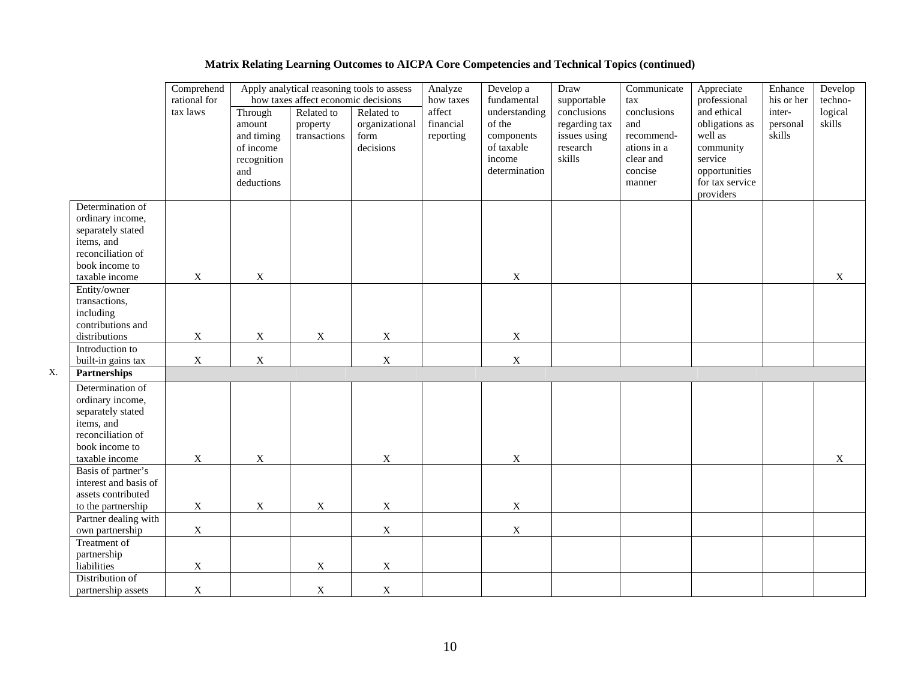|    |                                                                                                                                  | Comprehend<br>rational for | Apply analytical reasoning tools to assess<br>how taxes affect economic decisions |                                        |                                                   | Analyze<br>how taxes             | Develop a<br>fundamental                                                       | Draw<br>supportable                                                | Communicate<br>tax                                                                | Appreciate<br>professional                                                                                        | Enhance<br>his or her        | Develop<br>techno- |
|----|----------------------------------------------------------------------------------------------------------------------------------|----------------------------|-----------------------------------------------------------------------------------|----------------------------------------|---------------------------------------------------|----------------------------------|--------------------------------------------------------------------------------|--------------------------------------------------------------------|-----------------------------------------------------------------------------------|-------------------------------------------------------------------------------------------------------------------|------------------------------|--------------------|
|    |                                                                                                                                  | tax laws                   | Through<br>amount<br>and timing<br>of income<br>recognition<br>and<br>deductions  | Related to<br>property<br>transactions | Related to<br>organizational<br>form<br>decisions | affect<br>financial<br>reporting | understanding<br>of the<br>components<br>of taxable<br>income<br>determination | conclusions<br>regarding tax<br>issues using<br>research<br>skills | conclusions<br>and<br>recommend-<br>ations in a<br>clear and<br>concise<br>manner | and ethical<br>obligations as<br>well as<br>community<br>service<br>opportunities<br>for tax service<br>providers | inter-<br>personal<br>skills | logical<br>skills  |
|    | Determination of<br>ordinary income,<br>separately stated<br>items, and<br>reconciliation of                                     |                            |                                                                                   |                                        |                                                   |                                  |                                                                                |                                                                    |                                                                                   |                                                                                                                   |                              |                    |
|    | book income to<br>taxable income                                                                                                 | $\mathbf X$                | $\mathbf X$                                                                       |                                        |                                                   |                                  | $\mathbf X$                                                                    |                                                                    |                                                                                   |                                                                                                                   |                              | $\mathbf X$        |
|    | Entity/owner<br>transactions,<br>including<br>contributions and<br>distributions                                                 | $\mathbf X$                | $\mathbf X$                                                                       | $\mathbf X$                            | $\mathbf X$                                       |                                  | $\mathbf X$                                                                    |                                                                    |                                                                                   |                                                                                                                   |                              |                    |
|    | Introduction to                                                                                                                  |                            |                                                                                   |                                        |                                                   |                                  |                                                                                |                                                                    |                                                                                   |                                                                                                                   |                              |                    |
|    | built-in gains tax                                                                                                               | $\mathbf X$                | $\boldsymbol{\mathrm{X}}$                                                         |                                        | $\mathbf X$                                       |                                  | $\mathbf X$                                                                    |                                                                    |                                                                                   |                                                                                                                   |                              |                    |
| X. | Partnerships                                                                                                                     |                            |                                                                                   |                                        |                                                   |                                  |                                                                                |                                                                    |                                                                                   |                                                                                                                   |                              |                    |
|    | Determination of<br>ordinary income,<br>separately stated<br>items, and<br>reconciliation of<br>book income to<br>taxable income | X                          | $\mathbf X$                                                                       |                                        | X                                                 |                                  | $\mathbf X$                                                                    |                                                                    |                                                                                   |                                                                                                                   |                              | X                  |
|    | Basis of partner's<br>interest and basis of<br>assets contributed<br>to the partnership                                          | $\mathbf X$                | $\mathbf X$                                                                       | $\mathbf X$                            | $\mathbf X$                                       |                                  | $\mathbf X$                                                                    |                                                                    |                                                                                   |                                                                                                                   |                              |                    |
|    | Partner dealing with<br>own partnership                                                                                          | $\mathbf X$                |                                                                                   |                                        | $\mathbf X$                                       |                                  | $\mathbf X$                                                                    |                                                                    |                                                                                   |                                                                                                                   |                              |                    |
|    | Treatment of<br>partnership<br>liabilities                                                                                       | X                          |                                                                                   | $\mathbf X$                            | $\mathbf X$                                       |                                  |                                                                                |                                                                    |                                                                                   |                                                                                                                   |                              |                    |
|    | Distribution of<br>partnership assets                                                                                            | X                          |                                                                                   | $\mathbf X$                            | $\mathbf X$                                       |                                  |                                                                                |                                                                    |                                                                                   |                                                                                                                   |                              |                    |